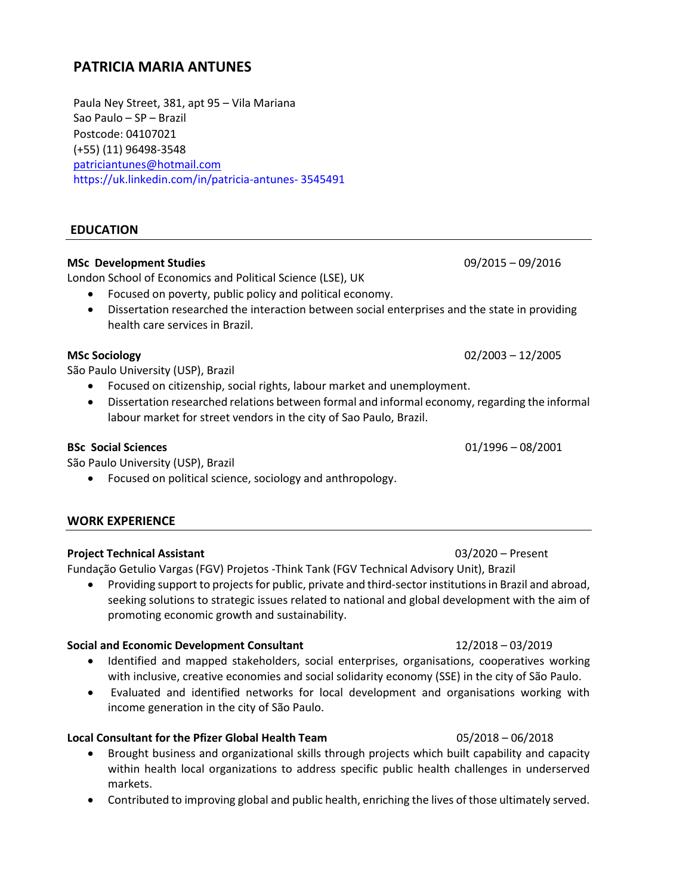# **PATRICIA MARIA ANTUNES**

Paula Ney Street, 381, apt 95 – Vila Mariana Sao Paulo – SP – Brazil Postcode: 04107021 (+55) (11) 96498-3548 [patriciantunes@hotmail.com](mailto:patriciantunes@hotmail.com) https://uk.linkedin.com/in/patricia-antunes- 3545491

# **EDUCATION**

# **MSc Development Studies** 09/2015 – 09/2016

London School of Economics and Political Science (LSE), UK

- Focused on poverty, public policy and political economy.
- Dissertation researched the interaction between social enterprises and the state in providing health care services in Brazil.

São Paulo University (USP), Brazil

- Focused on citizenship, social rights, labour market and unemployment.
- Dissertation researched relations between formal and informal economy, regarding the informal labour market for street vendors in the city of Sao Paulo, Brazil.

São Paulo University (USP), Brazil

• Focused on political science, sociology and anthropology.

# **WORK EXPERIENCE**

# **Project Technical Assistant** 03/2020 – Present

Fundação Getulio Vargas (FGV) Projetos -Think Tank (FGV Technical Advisory Unit), Brazil

• Providing support to projects for public, private and third-sector institutions in Brazil and abroad, seeking solutions to strategic issues related to national and global development with the aim of promoting economic growth and sustainability.

# **Social and Economic Development Consultant** 12/2018 – 03/2019

- Identified and mapped stakeholders, social enterprises, organisations, cooperatives working with inclusive, creative economies and social solidarity economy (SSE) in the city of São Paulo.
- Evaluated and identified networks for local development and organisations working with income generation in the city of São Paulo.

# **Local Consultant for the Pfizer Global Health Team** 05/2018 – 06/2018

- Brought business and organizational skills through projects which built capability and capacity within health local organizations to address specific public health challenges in underserved markets.
- Contributed to improving global and public health, enriching the lives of those ultimately served.

**BSc Social Sciences** 01/1996 – 08/2001

# **MSc Sociology** 02/2003 – 12/2005